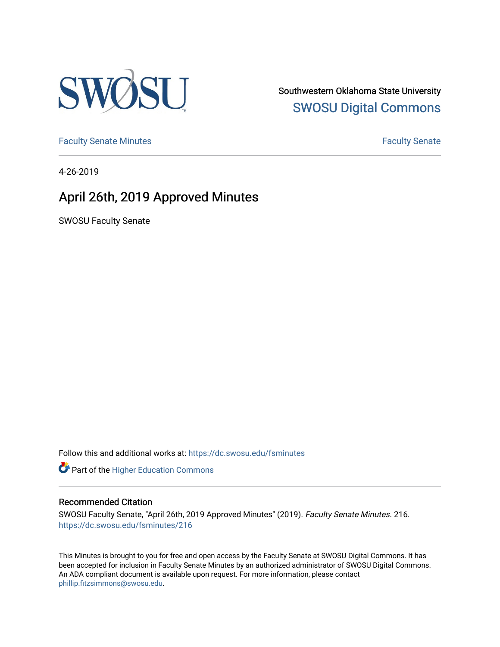

Southwestern Oklahoma State University [SWOSU Digital Commons](https://dc.swosu.edu/) 

[Faculty Senate Minutes](https://dc.swosu.edu/fsminutes) **Faculty** Senate Minutes

4-26-2019

## April 26th, 2019 Approved Minutes

SWOSU Faculty Senate

Follow this and additional works at: [https://dc.swosu.edu/fsminutes](https://dc.swosu.edu/fsminutes?utm_source=dc.swosu.edu%2Ffsminutes%2F216&utm_medium=PDF&utm_campaign=PDFCoverPages) 

Part of the [Higher Education Commons](http://network.bepress.com/hgg/discipline/1245?utm_source=dc.swosu.edu%2Ffsminutes%2F216&utm_medium=PDF&utm_campaign=PDFCoverPages) 

#### Recommended Citation

SWOSU Faculty Senate, "April 26th, 2019 Approved Minutes" (2019). Faculty Senate Minutes. 216. [https://dc.swosu.edu/fsminutes/216](https://dc.swosu.edu/fsminutes/216?utm_source=dc.swosu.edu%2Ffsminutes%2F216&utm_medium=PDF&utm_campaign=PDFCoverPages) 

This Minutes is brought to you for free and open access by the Faculty Senate at SWOSU Digital Commons. It has been accepted for inclusion in Faculty Senate Minutes by an authorized administrator of SWOSU Digital Commons. An ADA compliant document is available upon request. For more information, please contact [phillip.fitzsimmons@swosu.edu](mailto:phillip.fitzsimmons@swosu.edu).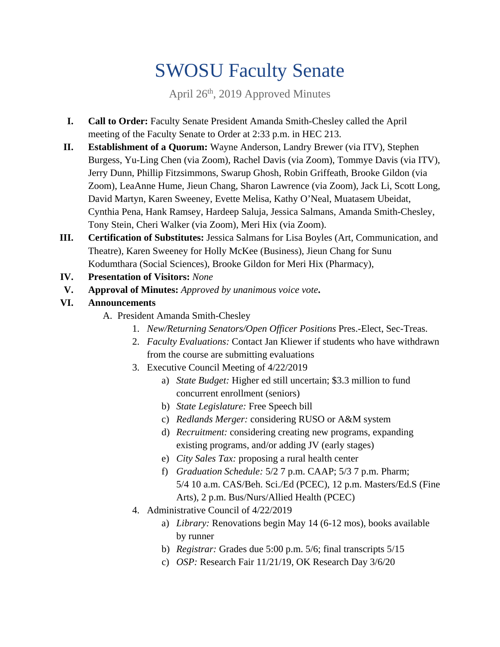# SWOSU Faculty Senate

April 26th, 2019 Approved Minutes

- **I. Call to Order:** Faculty Senate President Amanda Smith-Chesley called the April meeting of the Faculty Senate to Order at 2:33 p.m. in HEC 213.
- **II. Establishment of a Quorum:** Wayne Anderson, Landry Brewer (via ITV), Stephen Burgess, Yu-Ling Chen (via Zoom), Rachel Davis (via Zoom), Tommye Davis (via ITV), Jerry Dunn, Phillip Fitzsimmons, Swarup Ghosh, Robin Griffeath, Brooke Gildon (via Zoom), LeaAnne Hume, Jieun Chang, Sharon Lawrence (via Zoom), Jack Li, Scott Long, David Martyn, Karen Sweeney, Evette Melisa, Kathy O'Neal, Muatasem Ubeidat, Cynthia Pena, Hank Ramsey, Hardeep Saluja, Jessica Salmans, Amanda Smith-Chesley, Tony Stein, Cheri Walker (via Zoom), Meri Hix (via Zoom).
- **III. Certification of Substitutes:** Jessica Salmans for Lisa Boyles (Art, Communication, and Theatre), Karen Sweeney for Holly McKee (Business), Jieun Chang for Sunu Kodumthara (Social Sciences), Brooke Gildon for Meri Hix (Pharmacy),
- **IV. Presentation of Visitors:** *None*
- **V. Approval of Minutes:** *Approved by unanimous voice vote***.**
- **VI. Announcements** 
	- A. President Amanda Smith-Chesley
		- 1. *New/Returning Senators/Open Officer Positions* Pres.-Elect, Sec-Treas.
		- 2. *Faculty Evaluations:* Contact Jan Kliewer if students who have withdrawn from the course are submitting evaluations
		- 3. Executive Council Meeting of 4/22/2019
			- a) *State Budget:* Higher ed still uncertain; \$3.3 million to fund concurrent enrollment (seniors)
			- b) *State Legislature:* Free Speech bill
			- c) *Redlands Merger:* considering RUSO or A&M system
			- d) *Recruitment:* considering creating new programs, expanding existing programs, and/or adding JV (early stages)
			- e) *City Sales Tax:* proposing a rural health center
			- f) *Graduation Schedule:* 5/2 7 p.m. CAAP; 5/3 7 p.m. Pharm; 5/4 10 a.m. CAS/Beh. Sci./Ed (PCEC), 12 p.m. Masters/Ed.S (Fine Arts), 2 p.m. Bus/Nurs/Allied Health (PCEC)
		- 4. Administrative Council of 4/22/2019
			- a) *Library:* Renovations begin May 14 (6-12 mos), books available by runner
			- b) *Registrar:* Grades due 5:00 p.m. 5/6; final transcripts 5/15
			- c) *OSP:* Research Fair 11/21/19, OK Research Day 3/6/20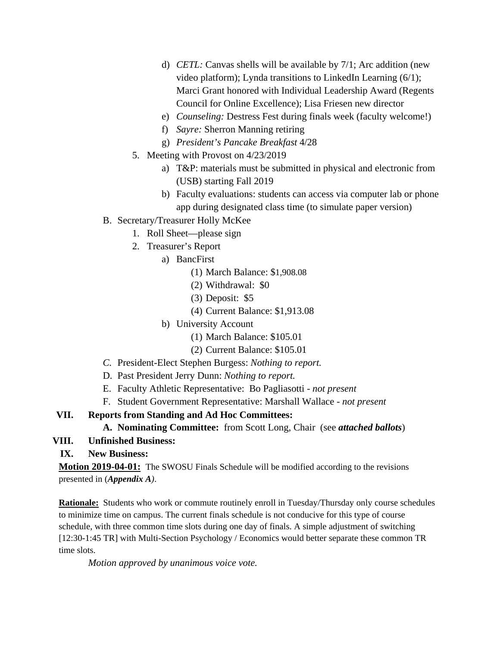- d) *CETL:* Canvas shells will be available by 7/1; Arc addition (new video platform); Lynda transitions to LinkedIn Learning (6/1); Marci Grant honored with Individual Leadership Award (Regents Council for Online Excellence); Lisa Friesen new director
- e) *Counseling:* Destress Fest during finals week (faculty welcome!)
- f) *Sayre:* Sherron Manning retiring
- g) *President's Pancake Breakfast* 4/28
- 5. Meeting with Provost on 4/23/2019
	- a) T&P: materials must be submitted in physical and electronic from (USB) starting Fall 2019
	- b) Faculty evaluations: students can access via computer lab or phone app during designated class time (to simulate paper version)
- B. Secretary/Treasurer Holly McKee
	- 1. Roll Sheet—please sign
	- 2. Treasurer's Report
		- a) BancFirst
			- (1) March Balance: \$1,908.08
			- (2) Withdrawal: \$0
			- (3) Deposit: \$5
			- (4) Current Balance: \$1,913.08
		- b) University Account
			- (1) March Balance: \$105.01
			- (2) Current Balance: \$105.01
- *C.* President-Elect Stephen Burgess: *Nothing to report.*
- D. Past President Jerry Dunn: *Nothing to report.*
- E. Faculty Athletic Representative: Bo Pagliasotti *not present*
- F. Student Government Representative: Marshall Wallace *not present*

#### **VII. Reports from Standing and Ad Hoc Committees:**

#### **A. Nominating Committee:** from Scott Long, Chair (see *attached ballots*)

#### **VIII. Unfinished Business:**

**IX. New Business:** 

**Motion 2019-04-01:** The SWOSU Finals Schedule will be modified according to the revisions presented in (*Appendix A)*.

**Rationale:** Students who work or commute routinely enroll in Tuesday/Thursday only course schedules to minimize time on campus. The current finals schedule is not conducive for this type of course schedule, with three common time slots during one day of finals. A simple adjustment of switching [12:30-1:45 TR] with Multi-Section Psychology / Economics would better separate these common TR time slots.

*Motion approved by unanimous voice vote.*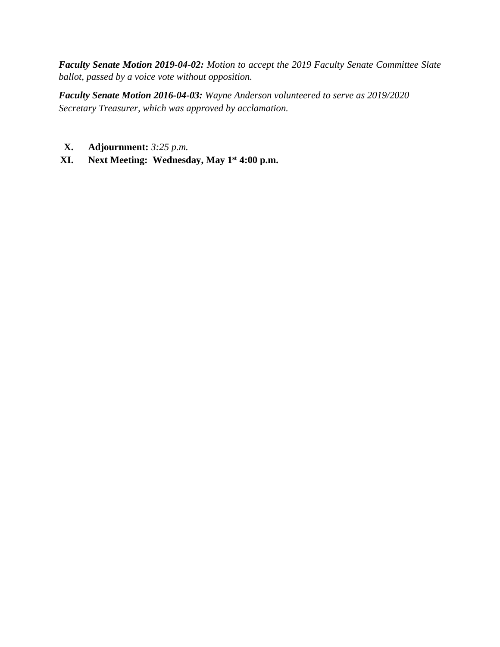*Faculty Senate Motion 2019-04-02: Motion to accept the 2019 Faculty Senate Committee Slate ballot, passed by a voice vote without opposition.* 

*Faculty Senate Motion 2016-04-03: Wayne Anderson volunteered to serve as 2019/2020 Secretary Treasurer, which was approved by acclamation.*

- **X. Adjournment:** *3:25 p.m.*
- **XI. Next Meeting: Wednesday, May 1st 4:00 p.m.**